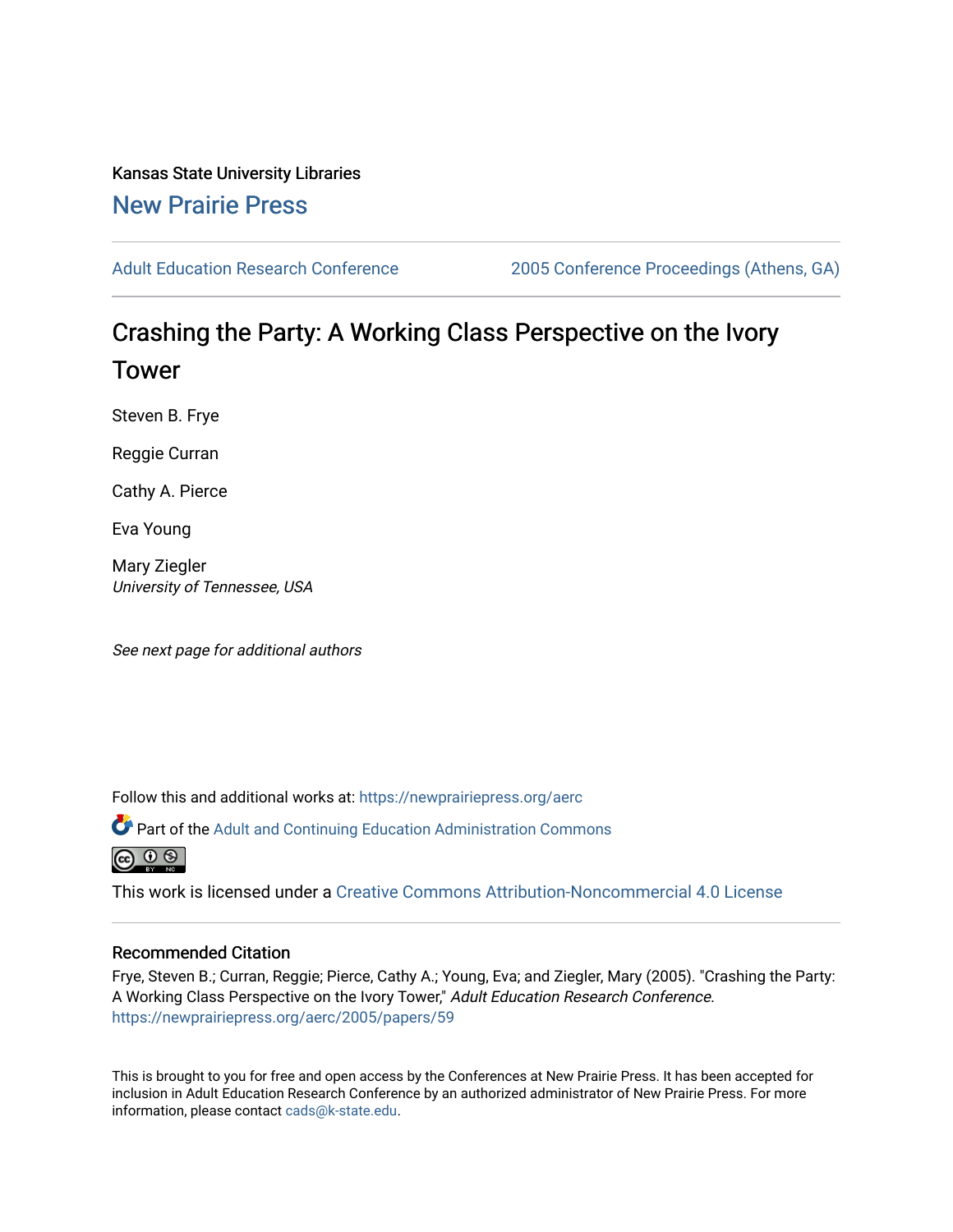Kansas State University Libraries [New Prairie Press](https://newprairiepress.org/) 

[Adult Education Research Conference](https://newprairiepress.org/aerc) [2005 Conference Proceedings \(Athens, GA\)](https://newprairiepress.org/aerc/2005) 

# Crashing the Party: A Working Class Perspective on the Ivory Tower

Steven B. Frye

Reggie Curran

Cathy A. Pierce

Eva Young

Mary Ziegler University of Tennessee, USA

See next page for additional authors

Follow this and additional works at: [https://newprairiepress.org/aerc](https://newprairiepress.org/aerc?utm_source=newprairiepress.org%2Faerc%2F2005%2Fpapers%2F59&utm_medium=PDF&utm_campaign=PDFCoverPages)

Part of the [Adult and Continuing Education Administration Commons](http://network.bepress.com/hgg/discipline/789?utm_source=newprairiepress.org%2Faerc%2F2005%2Fpapers%2F59&utm_medium=PDF&utm_campaign=PDFCoverPages)



This work is licensed under a [Creative Commons Attribution-Noncommercial 4.0 License](https://creativecommons.org/licenses/by-nc/4.0/)

#### Recommended Citation

Frye, Steven B.; Curran, Reggie; Pierce, Cathy A.; Young, Eva; and Ziegler, Mary (2005). "Crashing the Party: A Working Class Perspective on the Ivory Tower," Adult Education Research Conference. <https://newprairiepress.org/aerc/2005/papers/59>

This is brought to you for free and open access by the Conferences at New Prairie Press. It has been accepted for inclusion in Adult Education Research Conference by an authorized administrator of New Prairie Press. For more information, please contact [cads@k-state.edu](mailto:cads@k-state.edu).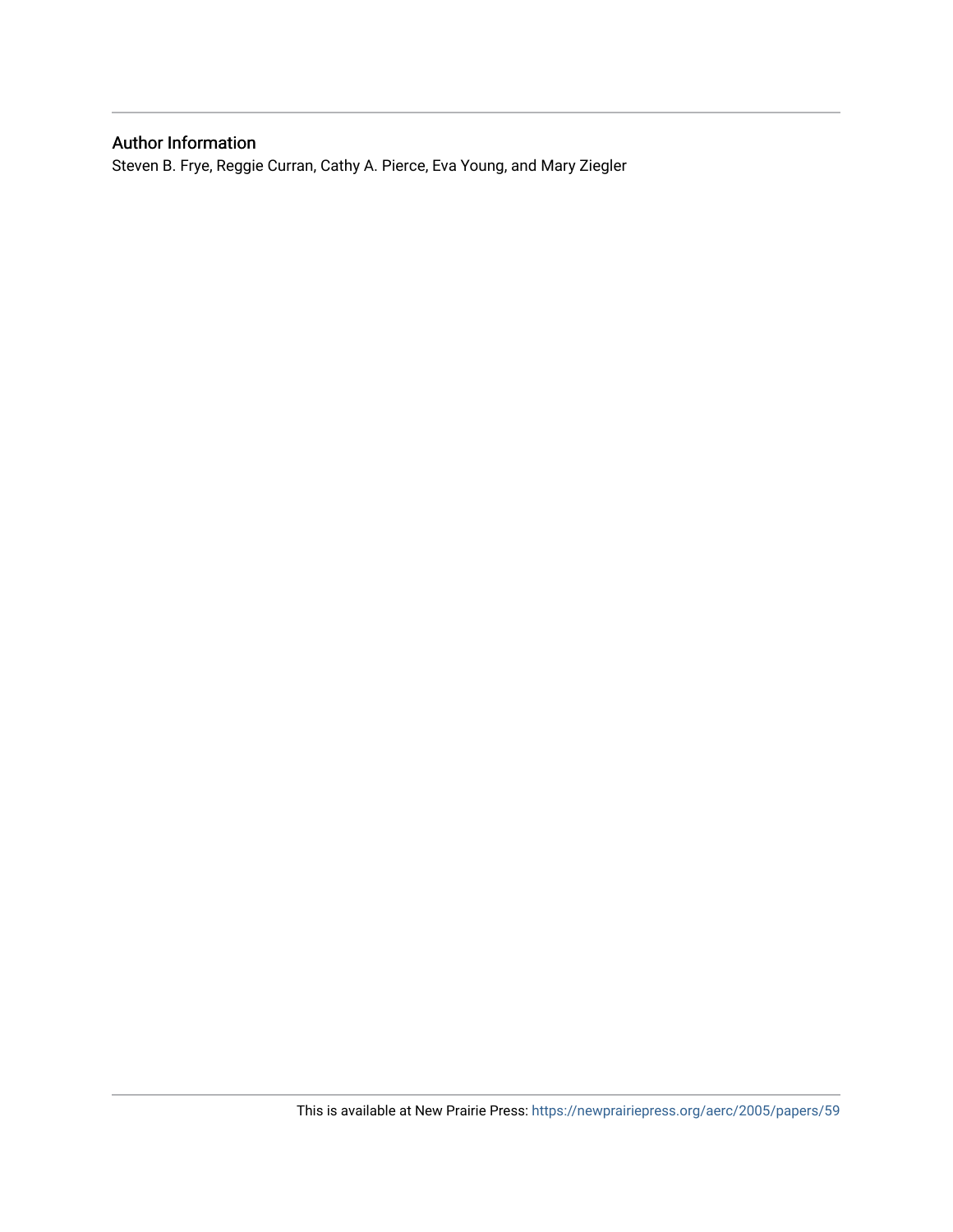# Author Information

Steven B. Frye, Reggie Curran, Cathy A. Pierce, Eva Young, and Mary Ziegler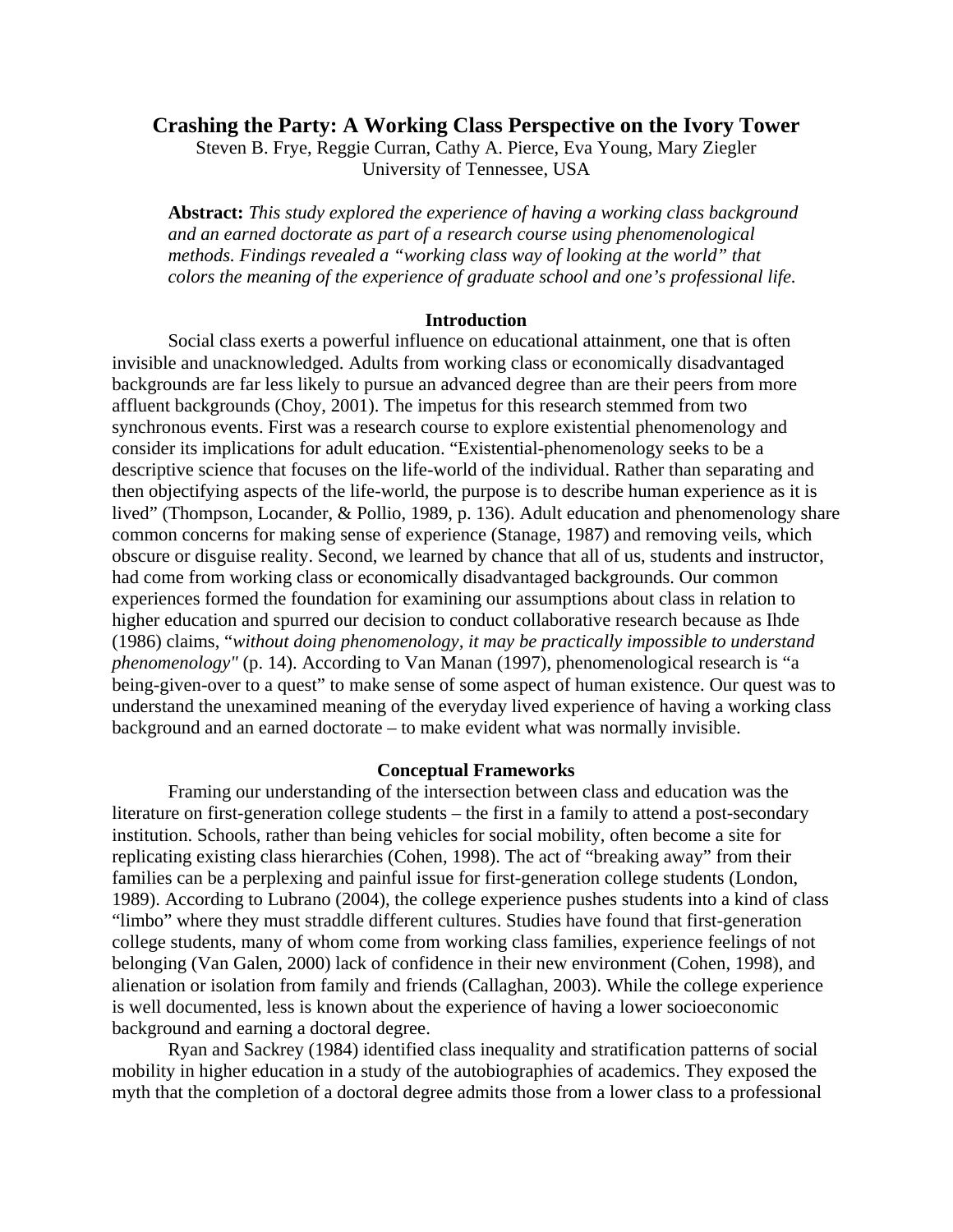# **Crashing the Party: A Working Class Perspective on the Ivory Tower**

Steven B. Frye, Reggie Curran, Cathy A. Pierce, Eva Young, Mary Ziegler University of Tennessee, USA

**Abstract:** *This study explored the experience of having a working class background and an earned doctorate as part of a research course using phenomenological methods. Findings revealed a "working class way of looking at the world" that colors the meaning of the experience of graduate school and one's professional life.* 

#### **Introduction**

Social class exerts a powerful influence on educational attainment, one that is often invisible and unacknowledged. Adults from working class or economically disadvantaged backgrounds are far less likely to pursue an advanced degree than are their peers from more affluent backgrounds (Choy, 2001). The impetus for this research stemmed from two synchronous events. First was a research course to explore existential phenomenology and consider its implications for adult education. "Existential-phenomenology seeks to be a descriptive science that focuses on the life-world of the individual. Rather than separating and then objectifying aspects of the life-world, the purpose is to describe human experience as it is lived" (Thompson, Locander, & Pollio, 1989, p. 136). Adult education and phenomenology share common concerns for making sense of experience (Stanage, 1987) and removing veils, which obscure or disguise reality. Second, we learned by chance that all of us, students and instructor, had come from working class or economically disadvantaged backgrounds. Our common experiences formed the foundation for examining our assumptions about class in relation to higher education and spurred our decision to conduct collaborative research because as Ihde (1986) claims, "*without doing phenomenology, it may be practically impossible to understand phenomenology"* (p. 14). According to Van Manan (1997), phenomenological research is "a being-given-over to a quest" to make sense of some aspect of human existence. Our quest was to understand the unexamined meaning of the everyday lived experience of having a working class background and an earned doctorate – to make evident what was normally invisible.

#### **Conceptual Frameworks**

Framing our understanding of the intersection between class and education was the literature on first-generation college students – the first in a family to attend a post-secondary institution. Schools, rather than being vehicles for social mobility, often become a site for replicating existing class hierarchies (Cohen, 1998). The act of "breaking away" from their families can be a perplexing and painful issue for first-generation college students (London, 1989). According to Lubrano (2004), the college experience pushes students into a kind of class "limbo" where they must straddle different cultures. Studies have found that first-generation college students, many of whom come from working class families, experience feelings of not belonging (Van Galen, 2000) lack of confidence in their new environment (Cohen, 1998), and alienation or isolation from family and friends (Callaghan, 2003). While the college experience is well documented, less is known about the experience of having a lower socioeconomic background and earning a doctoral degree.

Ryan and Sackrey (1984) identified class inequality and stratification patterns of social mobility in higher education in a study of the autobiographies of academics. They exposed the myth that the completion of a doctoral degree admits those from a lower class to a professional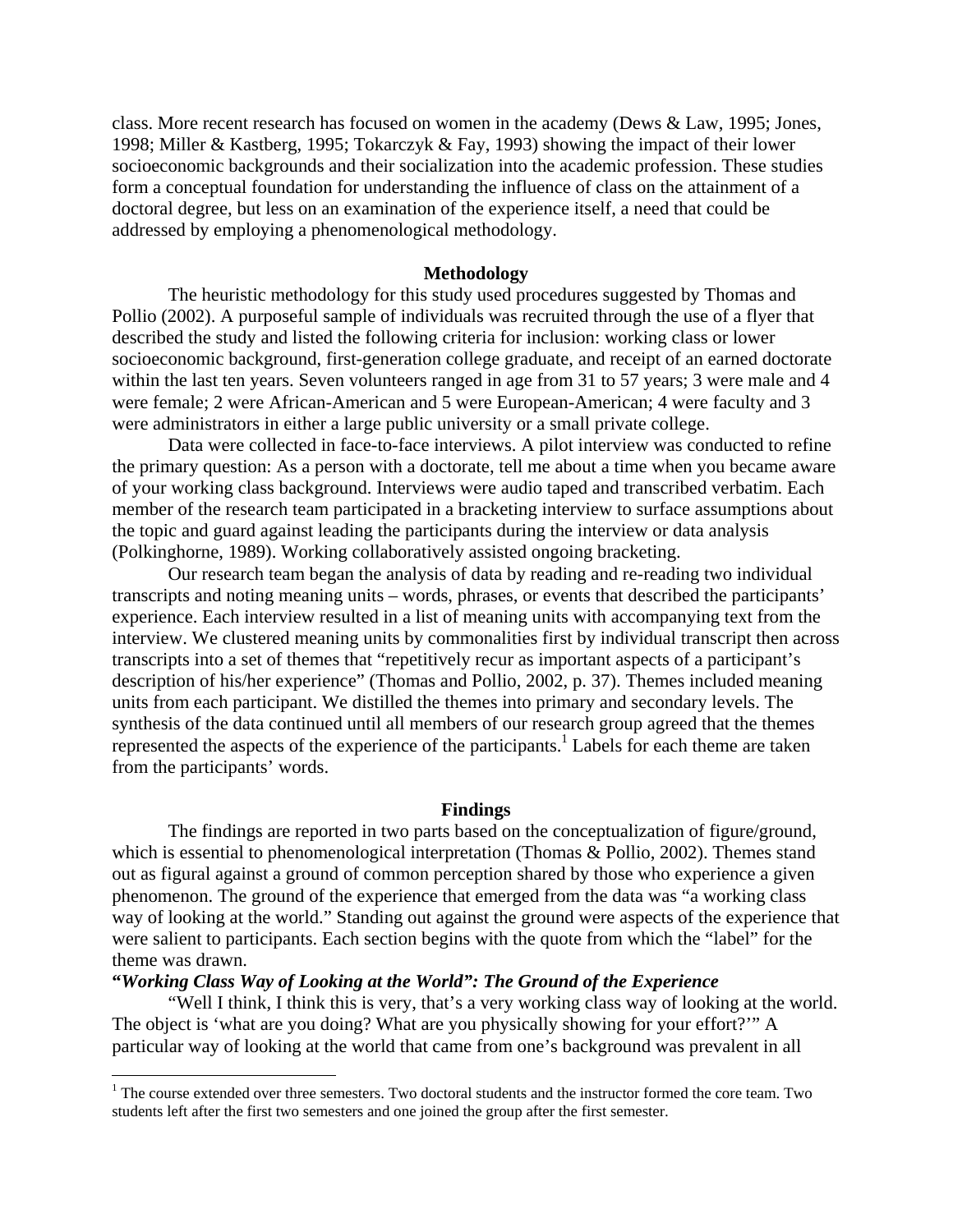class. More recent research has focused on women in the academy (Dews & Law, 1995; Jones, 1998; Miller & Kastberg, 1995; Tokarczyk & Fay, 1993) showing the impact of their lower socioeconomic backgrounds and their socialization into the academic profession. These studies form a conceptual foundation for understanding the influence of class on the attainment of a doctoral degree, but less on an examination of the experience itself, a need that could be addressed by employing a phenomenological methodology.

# **Methodology**

 The heuristic methodology for this study used procedures suggested by Thomas and Pollio (2002). A purposeful sample of individuals was recruited through the use of a flyer that described the study and listed the following criteria for inclusion: working class or lower socioeconomic background, first-generation college graduate, and receipt of an earned doctorate within the last ten years. Seven volunteers ranged in age from 31 to 57 years; 3 were male and 4 were female; 2 were African-American and 5 were European-American; 4 were faculty and 3 were administrators in either a large public university or a small private college.

Data were collected in face-to-face interviews. A pilot interview was conducted to refine the primary question: As a person with a doctorate, tell me about a time when you became aware of your working class background. Interviews were audio taped and transcribed verbatim. Each member of the research team participated in a bracketing interview to surface assumptions about the topic and guard against leading the participants during the interview or data analysis (Polkinghorne, 1989). Working collaboratively assisted ongoing bracketing.

Our research team began the analysis of data by reading and re-reading two individual transcripts and noting meaning units – words, phrases, or events that described the participants' experience. Each interview resulted in a list of meaning units with accompanying text from the interview. We clustered meaning units by commonalities first by individual transcript then across transcripts into a set of themes that "repetitively recur as important aspects of a participant's description of his/her experience" (Thomas and Pollio, 2002, p. 37). Themes included meaning units from each participant. We distilled the themes into primary and secondary levels. The synthesis of the data continued until all members of our research group agreed that the themes represented the aspects of the experience of the participants.<sup>1</sup> Labels for each theme are taken from the participants' words.

#### **Findings**

 The findings are reported in two parts based on the conceptualization of figure/ground, which is essential to phenomenological interpretation (Thomas & Pollio, 2002). Themes stand out as figural against a ground of common perception shared by those who experience a given phenomenon. The ground of the experience that emerged from the data was "a working class way of looking at the world." Standing out against the ground were aspects of the experience that were salient to participants. Each section begins with the quote from which the "label" for the theme was drawn.

#### **"***Working Class Way of Looking at the World": The Ground of the Experience*

 $\overline{a}$ 

"Well I think, I think this is very, that's a very working class way of looking at the world. The object is 'what are you doing? What are you physically showing for your effort?'" A particular way of looking at the world that came from one's background was prevalent in all

<sup>&</sup>lt;sup>1</sup> The course extended over three semesters. Two doctoral students and the instructor formed the core team. Two students left after the first two semesters and one joined the group after the first semester.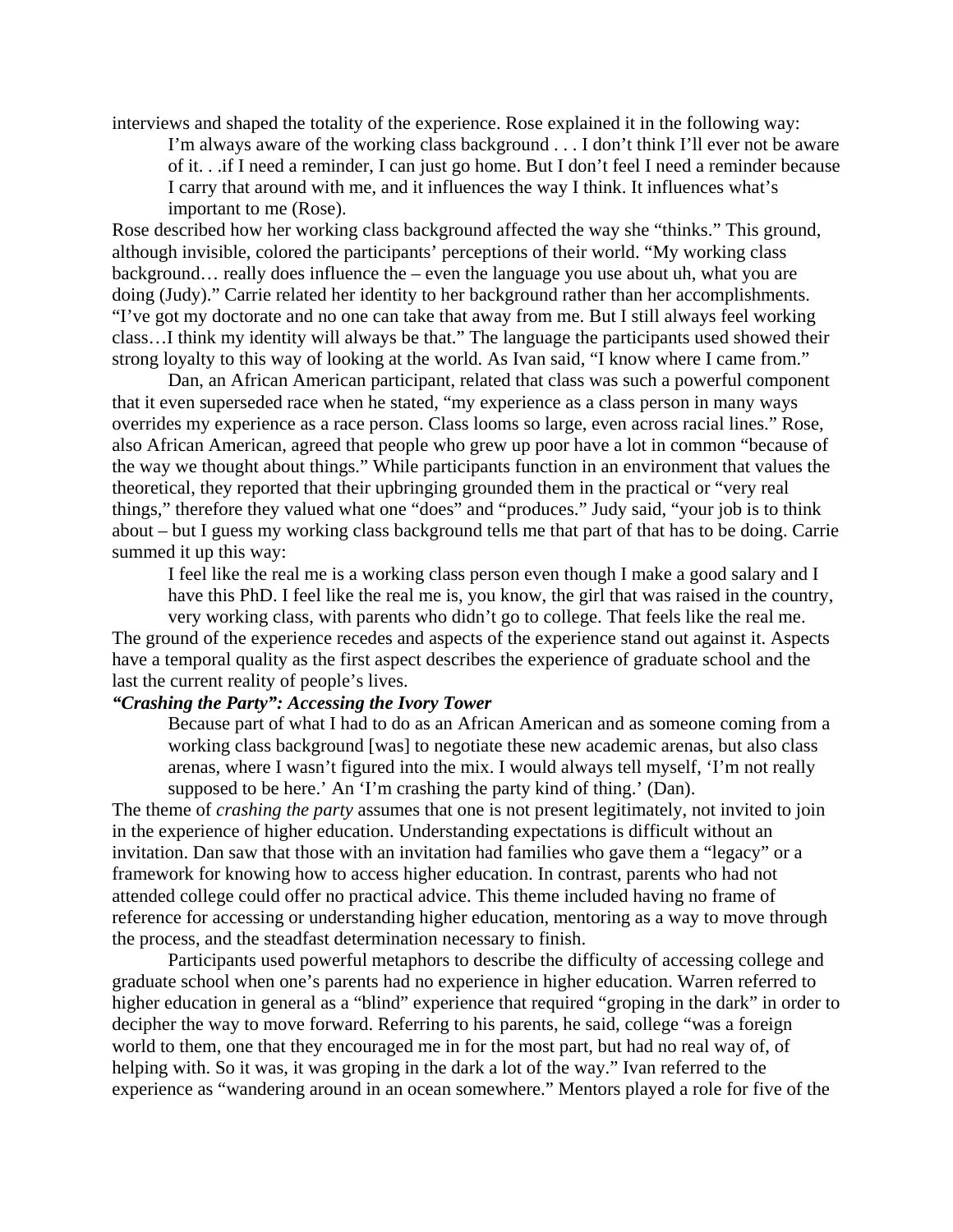interviews and shaped the totality of the experience. Rose explained it in the following way:

I'm always aware of the working class background . . . I don't think I'll ever not be aware of it. . .if I need a reminder, I can just go home. But I don't feel I need a reminder because I carry that around with me, and it influences the way I think. It influences what's important to me (Rose).

Rose described how her working class background affected the way she "thinks." This ground, although invisible, colored the participants' perceptions of their world. "My working class background… really does influence the – even the language you use about uh, what you are doing (Judy)." Carrie related her identity to her background rather than her accomplishments. "I've got my doctorate and no one can take that away from me. But I still always feel working class…I think my identity will always be that." The language the participants used showed their strong loyalty to this way of looking at the world. As Ivan said, "I know where I came from."

Dan, an African American participant, related that class was such a powerful component that it even superseded race when he stated, "my experience as a class person in many ways overrides my experience as a race person. Class looms so large, even across racial lines." Rose, also African American, agreed that people who grew up poor have a lot in common "because of the way we thought about things." While participants function in an environment that values the theoretical, they reported that their upbringing grounded them in the practical or "very real things," therefore they valued what one "does" and "produces." Judy said, "your job is to think about – but I guess my working class background tells me that part of that has to be doing. Carrie summed it up this way:

I feel like the real me is a working class person even though I make a good salary and I have this PhD. I feel like the real me is, you know, the girl that was raised in the country,

very working class, with parents who didn't go to college. That feels like the real me. The ground of the experience recedes and aspects of the experience stand out against it. Aspects have a temporal quality as the first aspect describes the experience of graduate school and the last the current reality of people's lives.

# *"Crashing the Party": Accessing the Ivory Tower*

Because part of what I had to do as an African American and as someone coming from a working class background [was] to negotiate these new academic arenas, but also class arenas, where I wasn't figured into the mix. I would always tell myself, 'I'm not really supposed to be here.' An 'I'm crashing the party kind of thing.' (Dan).

The theme of *crashing the party* assumes that one is not present legitimately, not invited to join in the experience of higher education. Understanding expectations is difficult without an invitation. Dan saw that those with an invitation had families who gave them a "legacy" or a framework for knowing how to access higher education. In contrast, parents who had not attended college could offer no practical advice. This theme included having no frame of reference for accessing or understanding higher education, mentoring as a way to move through the process, and the steadfast determination necessary to finish.

Participants used powerful metaphors to describe the difficulty of accessing college and graduate school when one's parents had no experience in higher education. Warren referred to higher education in general as a "blind" experience that required "groping in the dark" in order to decipher the way to move forward. Referring to his parents, he said, college "was a foreign world to them, one that they encouraged me in for the most part, but had no real way of, of helping with. So it was, it was groping in the dark a lot of the way." Ivan referred to the experience as "wandering around in an ocean somewhere." Mentors played a role for five of the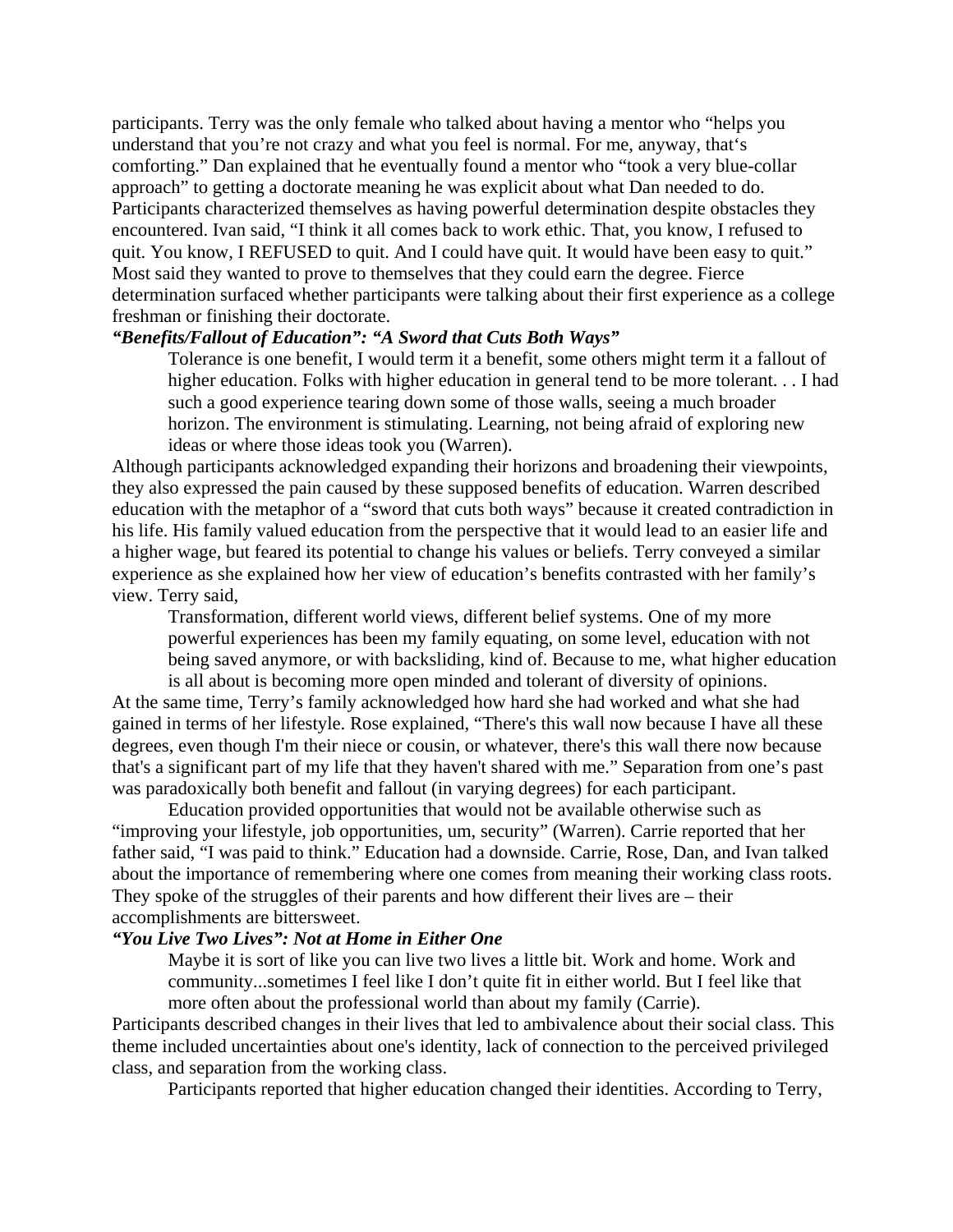participants. Terry was the only female who talked about having a mentor who "helps you understand that you're not crazy and what you feel is normal. For me, anyway, that's comforting." Dan explained that he eventually found a mentor who "took a very blue-collar approach" to getting a doctorate meaning he was explicit about what Dan needed to do. Participants characterized themselves as having powerful determination despite obstacles they encountered. Ivan said, "I think it all comes back to work ethic. That, you know, I refused to quit. You know, I REFUSED to quit. And I could have quit. It would have been easy to quit." Most said they wanted to prove to themselves that they could earn the degree. Fierce determination surfaced whether participants were talking about their first experience as a college freshman or finishing their doctorate.

# *"Benefits/Fallout of Education": "A Sword that Cuts Both Ways"*

Tolerance is one benefit, I would term it a benefit, some others might term it a fallout of higher education. Folks with higher education in general tend to be more tolerant. . . I had such a good experience tearing down some of those walls, seeing a much broader horizon. The environment is stimulating. Learning, not being afraid of exploring new ideas or where those ideas took you (Warren).

Although participants acknowledged expanding their horizons and broadening their viewpoints, they also expressed the pain caused by these supposed benefits of education. Warren described education with the metaphor of a "sword that cuts both ways" because it created contradiction in his life. His family valued education from the perspective that it would lead to an easier life and a higher wage, but feared its potential to change his values or beliefs. Terry conveyed a similar experience as she explained how her view of education's benefits contrasted with her family's view. Terry said,

Transformation, different world views, different belief systems. One of my more powerful experiences has been my family equating, on some level, education with not being saved anymore, or with backsliding, kind of. Because to me, what higher education is all about is becoming more open minded and tolerant of diversity of opinions.

At the same time, Terry's family acknowledged how hard she had worked and what she had gained in terms of her lifestyle. Rose explained, "There's this wall now because I have all these degrees, even though I'm their niece or cousin, or whatever, there's this wall there now because that's a significant part of my life that they haven't shared with me." Separation from one's past was paradoxically both benefit and fallout (in varying degrees) for each participant.

Education provided opportunities that would not be available otherwise such as "improving your lifestyle, job opportunities, um, security" (Warren). Carrie reported that her father said, "I was paid to think." Education had a downside. Carrie, Rose, Dan, and Ivan talked about the importance of remembering where one comes from meaning their working class roots. They spoke of the struggles of their parents and how different their lives are – their accomplishments are bittersweet.

#### *"You Live Two Lives": Not at Home in Either One*

Maybe it is sort of like you can live two lives a little bit. Work and home. Work and community...sometimes I feel like I don't quite fit in either world. But I feel like that more often about the professional world than about my family (Carrie).

Participants described changes in their lives that led to ambivalence about their social class. This theme included uncertainties about one's identity, lack of connection to the perceived privileged class, and separation from the working class.

Participants reported that higher education changed their identities. According to Terry,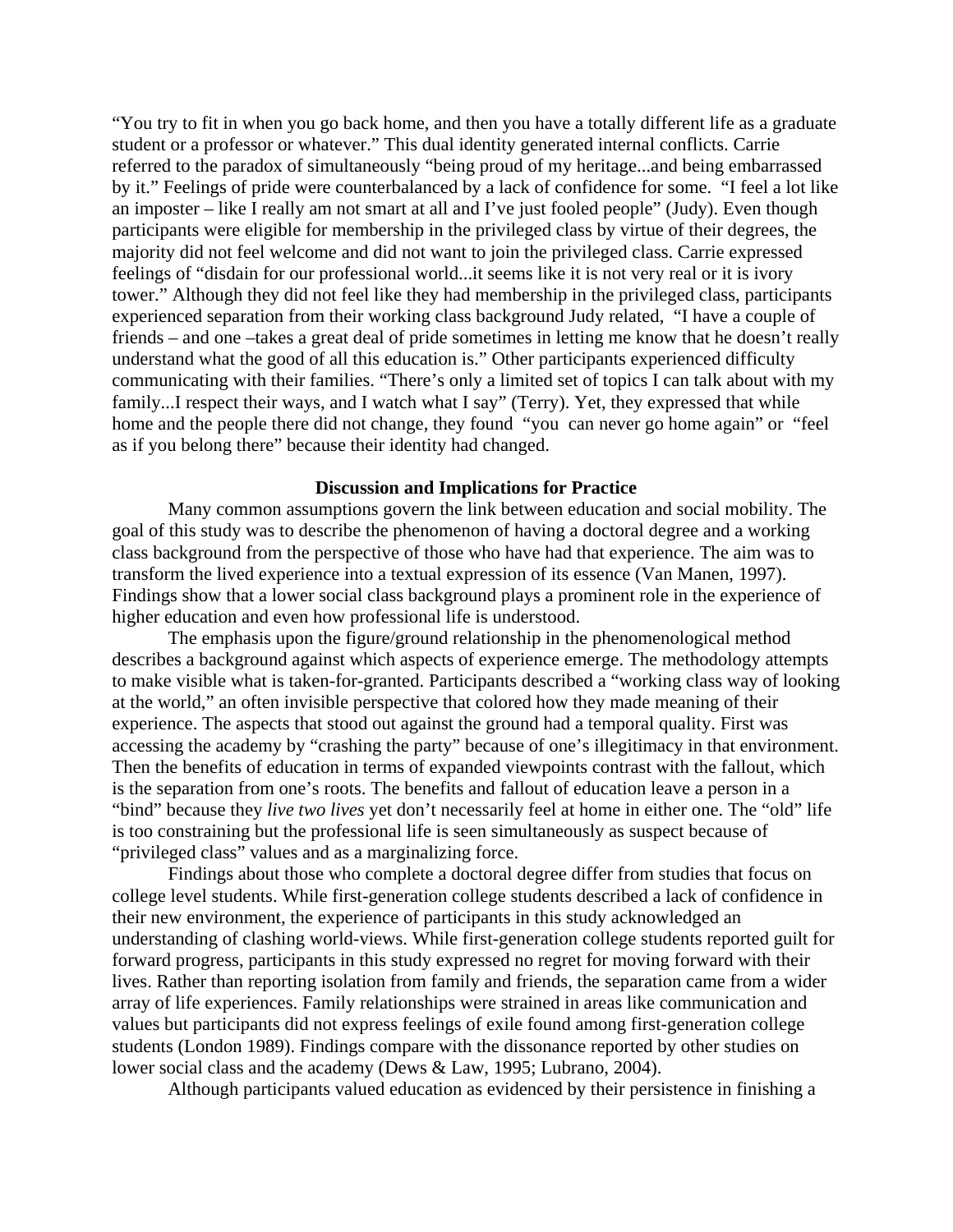"You try to fit in when you go back home, and then you have a totally different life as a graduate student or a professor or whatever." This dual identity generated internal conflicts. Carrie referred to the paradox of simultaneously "being proud of my heritage...and being embarrassed by it." Feelings of pride were counterbalanced by a lack of confidence for some. "I feel a lot like an imposter – like I really am not smart at all and I've just fooled people" (Judy). Even though participants were eligible for membership in the privileged class by virtue of their degrees, the majority did not feel welcome and did not want to join the privileged class. Carrie expressed feelings of "disdain for our professional world...it seems like it is not very real or it is ivory tower." Although they did not feel like they had membership in the privileged class, participants experienced separation from their working class background Judy related, "I have a couple of friends – and one –takes a great deal of pride sometimes in letting me know that he doesn't really understand what the good of all this education is." Other participants experienced difficulty communicating with their families. "There's only a limited set of topics I can talk about with my family...I respect their ways, and I watch what I say" (Terry). Yet, they expressed that while home and the people there did not change, they found "you can never go home again" or "feel as if you belong there" because their identity had changed.

## **Discussion and Implications for Practice**

Many common assumptions govern the link between education and social mobility. The goal of this study was to describe the phenomenon of having a doctoral degree and a working class background from the perspective of those who have had that experience. The aim was to transform the lived experience into a textual expression of its essence (Van Manen, 1997). Findings show that a lower social class background plays a prominent role in the experience of higher education and even how professional life is understood.

The emphasis upon the figure/ground relationship in the phenomenological method describes a background against which aspects of experience emerge. The methodology attempts to make visible what is taken-for-granted. Participants described a "working class way of looking at the world," an often invisible perspective that colored how they made meaning of their experience. The aspects that stood out against the ground had a temporal quality. First was accessing the academy by "crashing the party" because of one's illegitimacy in that environment. Then the benefits of education in terms of expanded viewpoints contrast with the fallout, which is the separation from one's roots. The benefits and fallout of education leave a person in a "bind" because they *live two lives* yet don't necessarily feel at home in either one. The "old" life is too constraining but the professional life is seen simultaneously as suspect because of "privileged class" values and as a marginalizing force.

Findings about those who complete a doctoral degree differ from studies that focus on college level students. While first-generation college students described a lack of confidence in their new environment, the experience of participants in this study acknowledged an understanding of clashing world-views. While first-generation college students reported guilt for forward progress, participants in this study expressed no regret for moving forward with their lives. Rather than reporting isolation from family and friends, the separation came from a wider array of life experiences. Family relationships were strained in areas like communication and values but participants did not express feelings of exile found among first-generation college students (London 1989). Findings compare with the dissonance reported by other studies on lower social class and the academy (Dews & Law, 1995; Lubrano, 2004).

Although participants valued education as evidenced by their persistence in finishing a